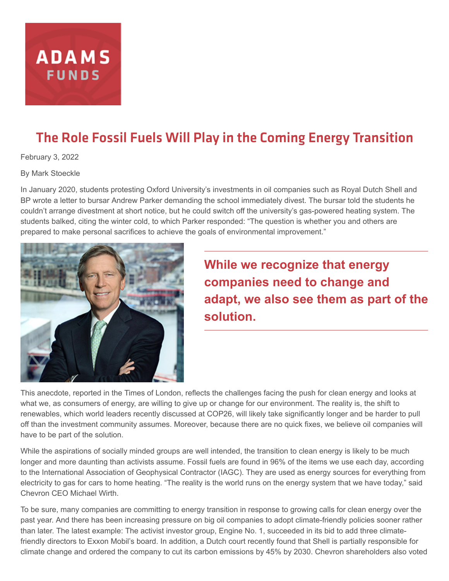

# The Role Fossil Fuels Will Play in the Coming Energy Transition

February 3, 2022

By Mark Stoeckle

In January 2020, students protesting Oxford University's investments in oil companies such as Royal Dutch Shell and BP wrote a letter to bursar Andrew Parker demanding the school immediately divest. The bursar told the students he couldn't arrange divestment at short notice, but he could switch off the university's gas-powered heating system. The students balked, citing the winter cold, to which Parker responded: "The question is whether you and others are prepared to make personal sacrifices to achieve the goals of environmental improvement."



**While we recognize that energy companies need to change and adapt, we also see them as part of the solution.**

This anecdote, reported in the Times of London, reflects the challenges facing the push for clean energy and looks at what we, as consumers of energy, are willing to give up or change for our environment. The reality is, the shift to renewables, which world leaders recently discussed at COP26, will likely take significantly longer and be harder to pull off than the investment community assumes. Moreover, because there are no quick fixes, we believe oil companies will have to be part of the solution.

While the aspirations of socially minded groups are well intended, the transition to clean energy is likely to be much longer and more daunting than activists assume. Fossil fuels are found in 96% of the items we use each day, according to the International Association of Geophysical Contractor (IAGC). They are used as energy sources for everything from electricity to gas for cars to home heating. "The reality is the world runs on the energy system that we have today," said Chevron CEO Michael Wirth.

To be sure, many companies are committing to energy transition in response to growing calls for clean energy over the past year. And there has been increasing pressure on big oil companies to adopt climate-friendly policies sooner rather than later. The latest example: The activist investor group, Engine No. 1, succeeded in its bid to add three climatefriendly directors to Exxon Mobil's board. In addition, a Dutch court recently found that Shell is partially responsible for climate change and ordered the company to cut its carbon emissions by 45% by 2030. Chevron shareholders also voted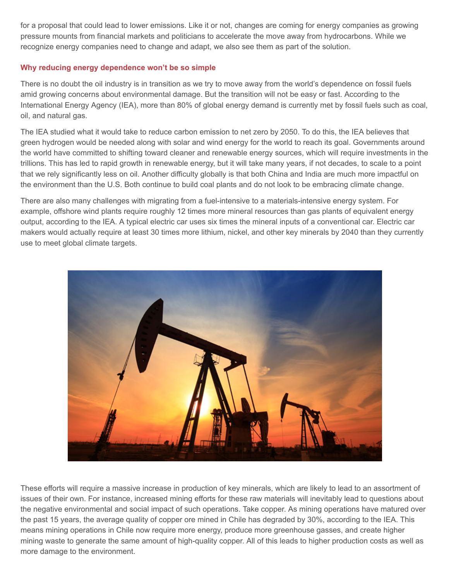for a proposal that could lead to lower emissions. Like it or not, changes are coming for energy companies as growing pressure mounts from financial markets and politicians to accelerate the move away from hydrocarbons. While we recognize energy companies need to change and adapt, we also see them as part of the solution.

# **Why reducing energy dependence won't be so simple**

There is no doubt the oil industry is in transition as we try to move away from the world's dependence on fossil fuels amid growing concerns about environmental damage. But the transition will not be easy or fast. According to the International Energy Agency (IEA), more than 80% of global energy demand is currently met by fossil fuels such as coal, oil, and natural gas.

The IEA studied what it would take to reduce carbon emission to net zero by 2050. To do this, the IEA believes that green hydrogen would be needed along with solar and wind energy for the world to reach its goal. Governments around the world have committed to shifting toward cleaner and renewable energy sources, which will require investments in the trillions. This has led to rapid growth in renewable energy, but it will take many years, if not decades, to scale to a point that we rely significantly less on oil. Another difficulty globally is that both China and India are much more impactful on the environment than the U.S. Both continue to build coal plants and do not look to be embracing climate change.

There are also many challenges with migrating from a fuel-intensive to a materials-intensive energy system. For example, offshore wind plants require roughly 12 times more mineral resources than gas plants of equivalent energy output, according to the IEA. A typical electric car uses six times the mineral inputs of a conventional car. Electric car makers would actually require at least 30 times more lithium, nickel, and other key minerals by 2040 than they currently use to meet global climate targets.



These efforts will require a massive increase in production of key minerals, which are likely to lead to an assortment of issues of their own. For instance, increased mining efforts for these raw materials will inevitably lead to questions about the negative environmental and social impact of such operations. Take copper. As mining operations have matured over the past 15 years, the average quality of copper ore mined in Chile has degraded by 30%, according to the IEA. This means mining operations in Chile now require more energy, produce more greenhouse gasses, and create higher mining waste to generate the same amount of high-quality copper. All of this leads to higher production costs as well as more damage to the environment.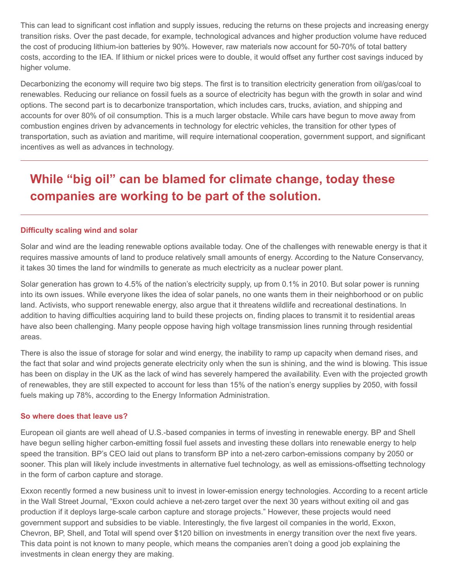This can lead to significant cost inflation and supply issues, reducing the returns on these projects and increasing energy transition risks. Over the past decade, for example, technological advances and higher production volume have reduced the cost of producing lithium-ion batteries by 90%. However, raw materials now account for 50-70% of total battery costs, according to the IEA. If lithium or nickel prices were to double, it would offset any further cost savings induced by higher volume.

Decarbonizing the economy will require two big steps. The first is to transition electricity generation from oil/gas/coal to renewables. Reducing our reliance on fossil fuels as a source of electricity has begun with the growth in solar and wind options. The second part is to decarbonize transportation, which includes cars, trucks, aviation, and shipping and accounts for over 80% of oil consumption. This is a much larger obstacle. While cars have begun to move away from combustion engines driven by advancements in technology for electric vehicles, the transition for other types of transportation, such as aviation and maritime, will require international cooperation, government support, and significant incentives as well as advances in technology.

# **While "big oil" can be blamed for climate change, today these companies are working to be part of the solution.**

## **Difficulty scaling wind and solar**

Solar and wind are the leading renewable options available today. One of the challenges with renewable energy is that it requires massive amounts of land to produce relatively small amounts of energy. According to the Nature Conservancy, it takes 30 times the land for windmills to generate as much electricity as a nuclear power plant.

Solar generation has grown to 4.5% of the nation's electricity supply, up from 0.1% in 2010. But solar power is running into its own issues. While everyone likes the idea of solar panels, no one wants them in their neighborhood or on public land. Activists, who support renewable energy, also argue that it threatens wildlife and recreational destinations. In addition to having difficulties acquiring land to build these projects on, finding places to transmit it to residential areas have also been challenging. Many people oppose having high voltage transmission lines running through residential areas.

There is also the issue of storage for solar and wind energy, the inability to ramp up capacity when demand rises, and the fact that solar and wind projects generate electricity only when the sun is shining, and the wind is blowing. This issue has been on display in the UK as the lack of wind has severely hampered the availability. Even with the projected growth of renewables, they are still expected to account for less than 15% of the nation's energy supplies by 2050, with fossil fuels making up 78%, according to the Energy Information Administration.

### **So where does that leave us?**

European oil giants are well ahead of U.S.-based companies in terms of investing in renewable energy. BP and Shell have begun selling higher carbon-emitting fossil fuel assets and investing these dollars into renewable energy to help speed the transition. BP's CEO laid out plans to transform BP into a net-zero carbon-emissions company by 2050 or sooner. This plan will likely include investments in alternative fuel technology, as well as emissions-offsetting technology in the form of carbon capture and storage.

Exxon recently formed a new business unit to invest in lower-emission energy technologies. According to a recent article in the Wall Street Journal, "Exxon could achieve a net-zero target over the next 30 years without exiting oil and gas production if it deploys large-scale carbon capture and storage projects." However, these projects would need government support and subsidies to be viable. Interestingly, the five largest oil companies in the world, Exxon, Chevron, BP, Shell, and Total will spend over \$120 billion on investments in energy transition over the next five years. This data point is not known to many people, which means the companies aren't doing a good job explaining the investments in clean energy they are making.